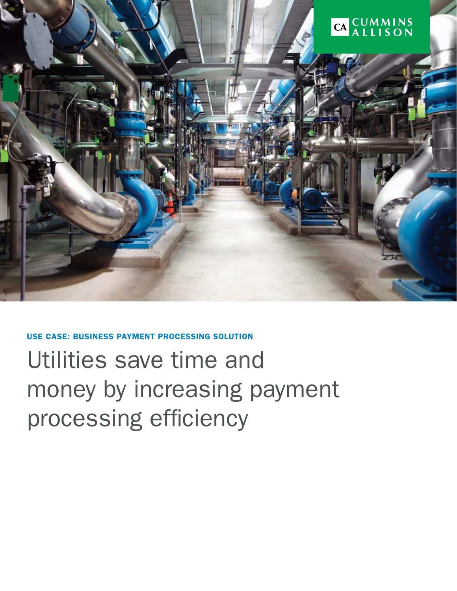

# use case: Business Payment Processing Solution Utilities save time and money by increasing payment processing efficiency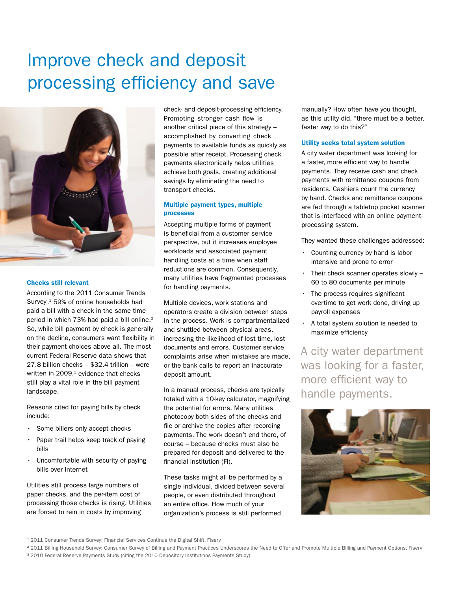## Improve check and deposit processing efficiency and save



#### Checks still relevant

According to the 2011 Consumer Trends Survey,<sup>1</sup> 59% of online households had paid a bill with a check in the same time period in which 73% had paid a bill online.<sup>2</sup> So, while bill payment by check is generally on the decline, consumers want flexibility in their payment choices above all. The most current Federal Reserve data shows that 27.8 billion checks – \$32.4 trillion – were written in  $2009$ , $3$  evidence that checks still play a vital role in the bill payment landscape.

Reasons cited for paying bills by check include:

- Some billers only accept checks
- Paper trail helps keep track of paying bills
- Uncomfortable with security of paying bills over Internet

Utilities still process large numbers of paper checks, and the per-item cost of processing those checks is rising. Utilities are forced to rein in costs by improving

check- and deposit-processing efficiency. Promoting stronger cash flow is another critical piece of this strategy – accomplished by converting check payments to available funds as quickly as possible after receipt. Processing check payments electronically helps utilities achieve both goals, creating additional savings by eliminating the need to transport checks.

#### Multiple payment types, multiple processes

Accepting multiple forms of payment is beneficial from a customer service perspective, but it increases employee workloads and associated payment handling costs at a time when staff reductions are common. Consequently, many utilities have fragmented processes for handling payments.

Multiple devices, work stations and operators create a division between steps in the process. Work is compartmentalized and shuttled between physical areas, increasing the likelihood of lost time, lost documents and errors. Customer service complaints arise when mistakes are made, or the bank calls to report an inaccurate deposit amount.

In a manual process, checks are typically totaled with a 10-key calculator, magnifying the potential for errors. Many utilities photocopy both sides of the checks and file or archive the copies after recording payments. The work doesn't end there, of course – because checks must also be prepared for deposit and delivered to the financial institution (FI).

These tasks might all be performed by a single individual, divided between several people, or even distributed throughout an entire office. How much of your organization's process is still performed

manually? How often have you thought, as this utility did, "there must be a better, faster way to do this?"

#### Utility seeks total system solution

A city water department was looking for a faster, more efficient way to handle payments. They receive cash and check payments with remittance coupons from residents. Cashiers count the currency by hand. Checks and remittance coupons are fed through a tabletop pocket scanner that is interfaced with an online paymentprocessing system.

They wanted these challenges addressed:

- Counting currency by hand is labor intensive and prone to error
- Their check scanner operates slowly 60 to 80 documents per minute
- The process requires significant overtime to get work done, driving up payroll expenses
- A total system solution is needed to maximize efficiency

A city water department was looking for a faster, more efficient way to handle payments.



<sup>1</sup> 2011 Consumer Trends Survey: Financial Services Continue the Digital Shift, Fiserv

<sup>&</sup>lt;sup>2</sup> 2011 Billing Household Survey: Consumer Survey of Billing and Payment Practices Underscores the Need to Offer and Promote Multiple Billing and Payment Options, Fiserv

<sup>&</sup>lt;sup>3</sup> 2010 Federal Reserve Payments Study (citing the 2010 Depository Institutions Payments Study)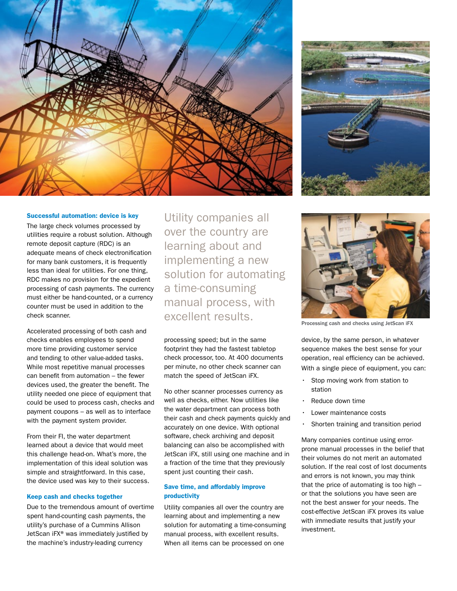



#### Successful automation: device is key

The large check volumes processed by utilities require a robust solution. Although remote deposit capture (RDC) is an adequate means of check electronification for many bank customers, it is frequently less than ideal for utilities. For one thing, RDC makes no provision for the expedient processing of cash payments. The currency must either be hand-counted, or a currency counter must be used in addition to the check scanner.

Accelerated processing of both cash and checks enables employees to spend more time providing customer service and tending to other value-added tasks. While most repetitive manual processes can benefit from automation – the fewer devices used, the greater the benefit. The utility needed one piece of equipment that could be used to process cash, checks and payment coupons – as well as to interface with the payment system provider.

From their FI, the water department learned about a device that would meet this challenge head-on. What's more, the implementation of this ideal solution was simple and straightforward. In this case, the device used was key to their success.

#### Keep cash and checks together

Due to the tremendous amount of overtime spent hand-counting cash payments, the utility's purchase of a Cummins Allison JetScan iFX® was immediately justified by the machine's industry-leading currency

Utility companies all over the country are learning about and implementing a new solution for automating a time-consuming manual process, with excellent results.

processing speed; but in the same footprint they had the fastest tabletop check processor, too. At 400 documents per minute, no other check scanner can match the speed of JetScan iFX.

No other scanner processes currency as well as checks, either. Now utilities like the water department can process both their cash and check payments quickly and accurately on one device. With optional software, check archiving and deposit balancing can also be accomplished with JetScan iFX, still using one machine and in a fraction of the time that they previously spent just counting their cash.

#### Save time, and affordably improve productivity

Utility companies all over the country are learning about and implementing a new solution for automating a time-consuming manual process, with excellent results. When all items can be processed on one



Processing cash and checks using JetScan iFX

device, by the same person, in whatever sequence makes the best sense for your operation, real efficiency can be achieved. With a single piece of equipment, you can:

- Stop moving work from station to station
- Reduce down time
- Lower maintenance costs
- Shorten training and transition period

Many companies continue using errorprone manual processes in the belief that their volumes do not merit an automated solution. If the real cost of lost documents and errors is not known, you may think that the price of automating is too high – or that the solutions you have seen are not the best answer for your needs. The cost-effective JetScan iFX proves its value with immediate results that justify your investment.